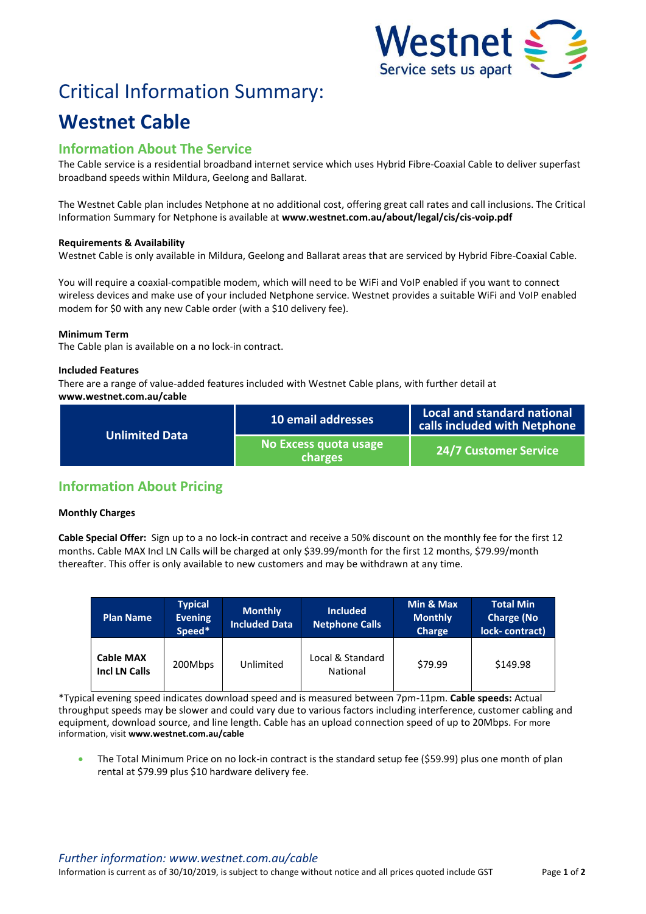

# Critical Information Summary:

## **Westnet Cable**

### **Information About The Service**

The Cable service is a residential broadband internet service which uses Hybrid Fibre-Coaxial Cable to deliver superfast broadband speeds within Mildura, Geelong and Ballarat.

The Westnet Cable plan includes Netphone at no additional cost, offering great call rates and call inclusions. The Critical Information Summary for Netphone is available at **www.westnet.com.au/about/legal/cis/cis-voip.pdf**

#### **Requirements & Availability**

Westnet Cable is only available in Mildura, Geelong and Ballarat areas that are serviced by Hybrid Fibre-Coaxial Cable.

You will require a coaxial-compatible modem, which will need to be WiFi and VoIP enabled if you want to connect wireless devices and make use of your included Netphone service. Westnet provides a suitable WiFi and VoIP enabled modem for \$0 with any new Cable order (with a \$10 delivery fee).

#### **Minimum Term**

The Cable plan is available on a no lock-in contract.

#### **Included Features**

There are a range of value-added features included with Westnet Cable plans, with further detail at **www.westnet.com.au/cable**

| <b>Unlimited Data</b> | 10 email addresses               | Local and standard national<br>calls included with Netphone |
|-----------------------|----------------------------------|-------------------------------------------------------------|
|                       | No Excess quota usage<br>charges | <b>24/7 Customer Service</b>                                |

## **Information About Pricing**

#### **Monthly Charges**

**Cable Special Offer:** Sign up to a no lock-in contract and receive a 50% discount on the monthly fee for the first 12 months. Cable MAX Incl LN Calls will be charged at only \$39.99/month for the first 12 months, \$79.99/month thereafter. This offer is only available to new customers and may be withdrawn at any time.

| <b>Plan Name</b>                         | <b>Typical</b><br><b>Evening</b><br>Speed* | <b>Monthly</b><br><b>Included Data</b> | <b>Included</b><br><b>Netphone Calls</b> | Min & Max<br><b>Monthly</b><br><b>Charge</b> | <b>Total Min</b><br><b>Charge (No</b><br>lock-contract) |
|------------------------------------------|--------------------------------------------|----------------------------------------|------------------------------------------|----------------------------------------------|---------------------------------------------------------|
| <b>Cable MAX</b><br><b>Incl LN Calls</b> | 200Mbps                                    | Unlimited                              | Local & Standard<br>National             | \$79.99                                      | \$149.98                                                |

\*Typical evening speed indicates download speed and is measured between 7pm-11pm. **Cable speeds:** Actual throughput speeds may be slower and could vary due to various factors including interference, customer cabling and equipment, download source, and line length. Cable has an upload connection speed of up to 20Mbps. For more information, visit **www.westnet.com.au/cable**

 The Total Minimum Price on no lock-in contract is the standard setup fee (\$59.99) plus one month of plan rental at \$79.99 plus \$10 hardware delivery fee.